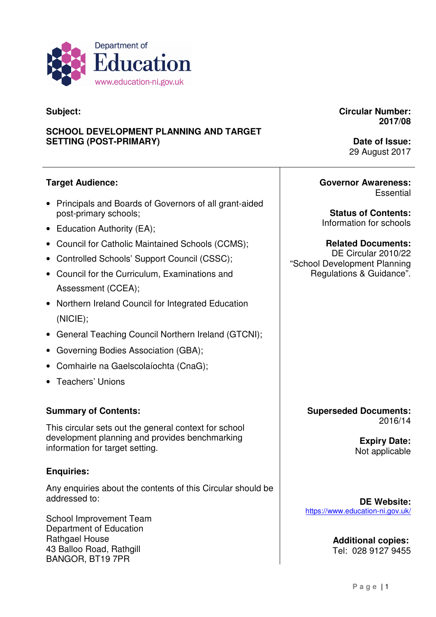

### **Subject:**

### **SCHOOL DEVELOPMENT PLANNING AND TARGET SETTING (POST-PRIMARY)**

**Circular Number: 2017/08** 

> **Date of Issue:**  29 August 2017

### **Target Audience:**

- • Principals and Boards of Governors of all grant-aided post-primary schools;
- Education Authority (EA);
- Council for Catholic Maintained Schools (CCMS);
- Controlled Schools' Support Council (CSSC);
- • Council for the Curriculum, Examinations and Assessment (CCEA);
- • Northern Ireland Council for Integrated Education (NICIE);
- General Teaching Council Northern Ireland (GTCNI);
- **Governing Bodies Association (GBA);**
- • Comhairle na Gaelscolaíochta (CnaG);
- Teachers' Unions

### **Summary of Contents:**

 This circular sets out the general context for school development planning and provides benchmarking information for target setting.

### **Enquiries:**

 Any enquiries about the contents of this Circular should be addressed to:

 School Improvement Team Department of Education Rathgael House 43 Balloo Road, Rathgill BANGOR, BT19 7PR

**Governor Awareness: Essential** 

 **Status of Contents:**  Information for schools

 DE Circular 2010/22 "School Development Planning Regulations & Guidance". **Related Documents:** 

> **Superseded Documents:**  2016/14

> > **Expiry Date:**  Not applicable

**DE Website:**  https://www.education-ni.gov.uk/

> Tel: 028 9127 9455 **Additional copies:**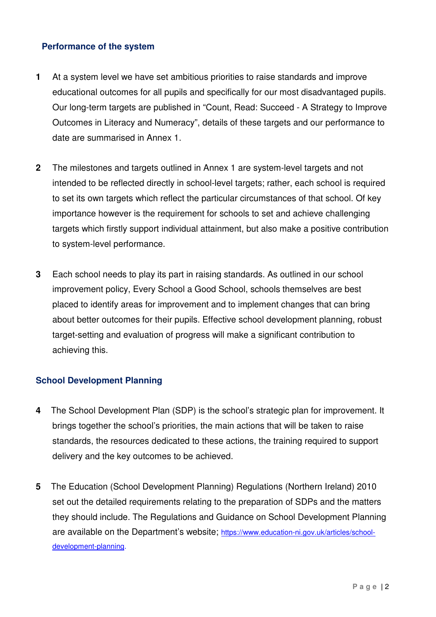### **Performance of the system**

- **1** At a system level we have set ambitious priorities to raise standards and improve educational outcomes for all pupils and specifically for our most disadvantaged pupils. Our long-term targets are published in "Count, Read: Succeed - A Strategy to Improve Outcomes in Literacy and Numeracy", details of these targets and our performance to date are summarised in Annex 1.
- **2** The milestones and targets outlined in Annex 1 are system-level targets and not intended to be reflected directly in school-level targets; rather, each school is required to set its own targets which reflect the particular circumstances of that school. Of key importance however is the requirement for schools to set and achieve challenging targets which firstly support individual attainment, but also make a positive contribution to system-level performance.
- **3** Each school needs to play its part in raising standards. As outlined in our school improvement policy, Every School a Good School, schools themselves are best placed to identify areas for improvement and to implement changes that can bring about better outcomes for their pupils. Effective school development planning, robust target-setting and evaluation of progress will make a significant contribution to achieving this.

### **School Development Planning**

- brings together the school's priorities, the main actions that will be taken to raise standards, the resources dedicated to these actions, the training required to support delivery and the key outcomes to be achieved. **4** The School Development Plan (SDP) is the school's strategic plan for improvement. It
- set out the detailed requirements relating to the preparation of SDPs and the matters they should include. The Regulations and Guidance on School Development Planning are available on the Department's website; https://www.education-ni.gov.uk/articles/school **5** The Education (School Development Planning) Regulations (Northern Ireland) 2010 development-planning.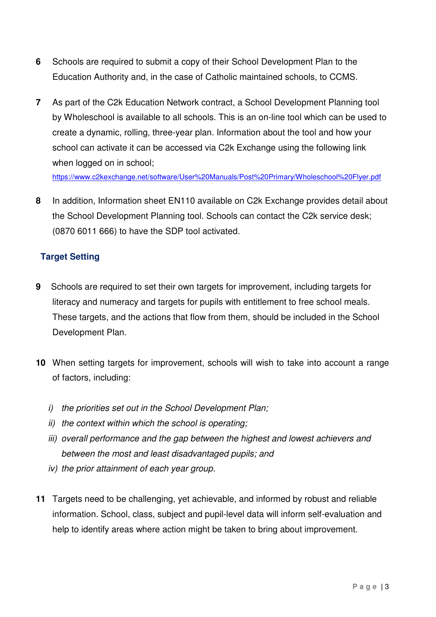- **6** Schools are required to submit a copy of their School Development Plan to the Education Authority and, in the case of Catholic maintained schools, to CCMS.
- **7** As part of the C2k Education Network contract, a School Development Planning tool by Wholeschool is available to all schools. This is an on-line tool which can be used to create a dynamic, rolling, three-year plan. Information about the tool and how your school can activate it can be accessed via C2k Exchange using the following link when logged on in school;

https://www.c2kexchange.net/software/User%20Manuals/Post%20Primary/Wholeschool%20Flyer.pdf

 **8** In addition, Information sheet EN110 available on C2k Exchange provides detail about the School Development Planning tool. Schools can contact the C2k service desk; (0870 6011 666) to have the SDP tool activated.

### **Target Setting**

- literacy and numeracy and targets for pupils with entitlement to free school meals. These targets, and the actions that flow from them, should be included in the School Development Plan. **9** Schools are required to set their own targets for improvement, including targets for
- **10** When setting targets for improvement, schools will wish to take into account a range of factors, including:
	- i) the priorities set out in the School Development Plan;
	- ii) the context within which the school is operating;
	- iii) overall performance and the gap between the highest and lowest achievers and between the most and least disadvantaged pupils; and
	- iv) the prior attainment of each year group.
- **11** Targets need to be challenging, yet achievable, and informed by robust and reliable information. School, class, subject and pupil-level data will inform self-evaluation and help to identify areas where action might be taken to bring about improvement.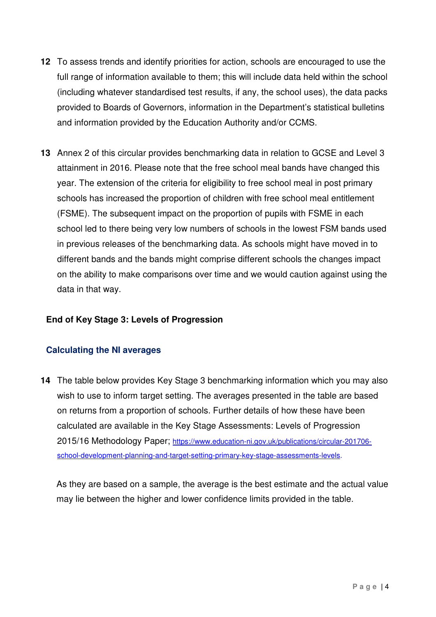- **12** To assess trends and identify priorities for action, schools are encouraged to use the full range of information available to them; this will include data held within the school (including whatever standardised test results, if any, the school uses), the data packs provided to Boards of Governors, information in the Department's statistical bulletins and information provided by the Education Authority and/or CCMS.
- **13** Annex 2 of this circular provides benchmarking data in relation to GCSE and Level 3 attainment in 2016. Please note that the free school meal bands have changed this year. The extension of the criteria for eligibility to free school meal in post primary schools has increased the proportion of children with free school meal entitlement (FSME). The subsequent impact on the proportion of pupils with FSME in each school led to there being very low numbers of schools in the lowest FSM bands used in previous releases of the benchmarking data. As schools might have moved in to different bands and the bands might comprise different schools the changes impact on the ability to make comparisons over time and we would caution against using the data in that way.

### **End of Key Stage 3: Levels of Progression**

### **Calculating the NI averages**

**14** The table below provides Key Stage 3 benchmarking information which you may also wish to use to inform target setting. The averages presented in the table are based on returns from a proportion of schools. Further details of how these have been calculated are available in the Key Stage Assessments: Levels of Progression 2015/16 Methodology Paper; https://www.education-ni.gov.uk/publications/circular-201706 school-development-planning-and-target-setting-primary-key-stage-assessments-levels.

 As they are based on a sample, the average is the best estimate and the actual value may lie between the higher and lower confidence limits provided in the table.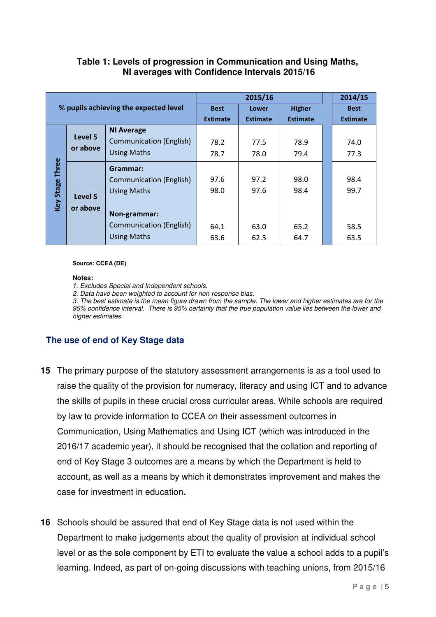### **Table 1: Levels of progression in Communication and Using Maths, NI averages with Confidence Intervals 2015/16**

|              |                                       | 2015/16                        |                 |                 |                 | 2014/15 |                 |
|--------------|---------------------------------------|--------------------------------|-----------------|-----------------|-----------------|---------|-----------------|
|              | % pupils achieving the expected level |                                | <b>Best</b>     | Lower           | <b>Higher</b>   |         | <b>Best</b>     |
|              |                                       |                                | <b>Estimate</b> | <b>Estimate</b> | <b>Estimate</b> |         | <b>Estimate</b> |
|              |                                       | <b>NI Average</b>              |                 |                 |                 |         |                 |
|              | Level 5                               | <b>Communication (English)</b> | 78.2            | 77.5            | 78.9            |         | 74.0            |
|              | or above                              | <b>Using Maths</b>             | 78.7            | 78.0            | 79.4            |         | 77.3            |
| <b>Three</b> |                                       | Grammar:                       |                 |                 |                 |         |                 |
|              |                                       | <b>Communication (English)</b> | 97.6            | 97.2            | 98.0            |         | 98.4            |
| Key Stage    | Level 5                               | <b>Using Maths</b>             | 98.0            | 97.6            | 98.4            |         | 99.7            |
|              |                                       |                                |                 |                 |                 |         |                 |
|              | or above                              | Non-grammar:                   |                 |                 |                 |         |                 |
|              |                                       | <b>Communication (English)</b> | 64.1            | 63.0            | 65.2            |         | 58.5            |
|              |                                       | <b>Using Maths</b>             | 63.6            | 62.5            | 64.7            |         | 63.5            |

#### **Source: CCEA (DE)**

#### **Notes:**

1. Excludes Special and Independent schools.

2. Data have been weighted to account for non-response bias.

 3. The best estimate is the mean figure drawn from the sample. The lower and higher estimates are for the 95% confidence interval. There is 95% certainty that the true population value lies between the lower and higher estimates.

### **The use of end of Key Stage data**

- **15** The primary purpose of the statutory assessment arrangements is as a tool used to raise the quality of the provision for numeracy, literacy and using ICT and to advance the skills of pupils in these crucial cross curricular areas. While schools are required by law to provide information to CCEA on their assessment outcomes in Communication, Using Mathematics and Using ICT (which was introduced in the 2016/17 academic year), it should be recognised that the collation and reporting of end of Key Stage 3 outcomes are a means by which the Department is held to account, as well as a means by which it demonstrates improvement and makes the case for investment in education**.**
- **16** Schools should be assured that end of Key Stage data is not used within the Department to make judgements about the quality of provision at individual school level or as the sole component by ETI to evaluate the value a school adds to a pupil's learning. Indeed, as part of on-going discussions with teaching unions, from 2015/16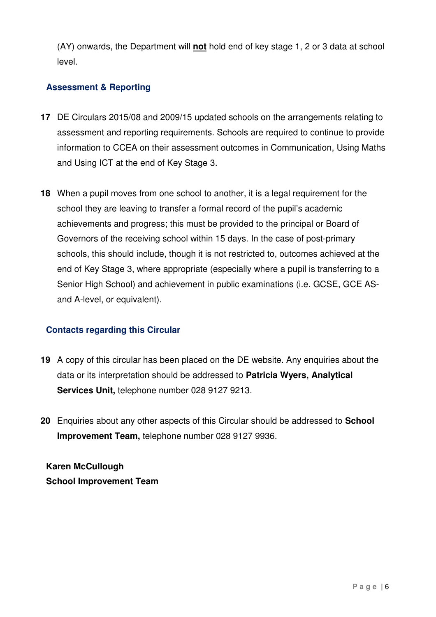(AY) onwards, the Department will **not** hold end of key stage 1, 2 or 3 data at school level.

### **Assessment & Reporting**

- **17** DE Circulars 2015/08 and 2009/15 updated schools on the arrangements relating to assessment and reporting requirements. Schools are required to continue to provide information to CCEA on their assessment outcomes in Communication, Using Maths and Using ICT at the end of Key Stage 3.
- **18** When a pupil moves from one school to another, it is a legal requirement for the school they are leaving to transfer a formal record of the pupil's academic achievements and progress; this must be provided to the principal or Board of Governors of the receiving school within 15 days. In the case of post-primary schools, this should include, though it is not restricted to, outcomes achieved at the end of Key Stage 3, where appropriate (especially where a pupil is transferring to a Senior High School) and achievement in public examinations (i.e. GCSE, GCE AS-and A-level, or equivalent).

### **Contacts regarding this Circular**

- **19** A copy of this circular has been placed on the DE website. Any enquiries about the data or its interpretation should be addressed to **Patricia Wyers, Analytical Services Unit,** telephone number 028 9127 9213.
- **20** Enquiries about any other aspects of this Circular should be addressed to **School Improvement Team,** telephone number 028 9127 9936.

 **School Improvement Team Karen McCullough**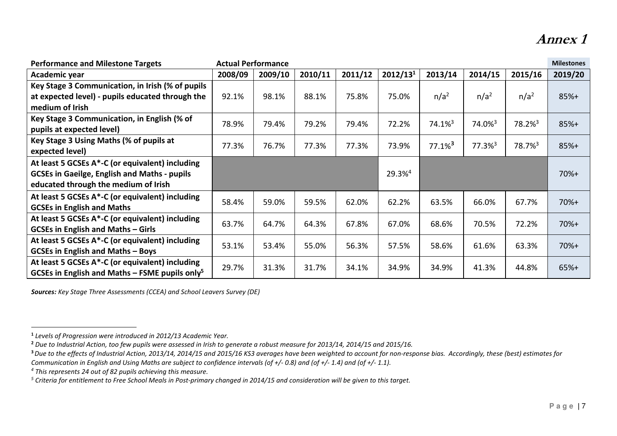# Annex 1

| <b>Actual Performance</b><br><b>Performance and Milestone Targets</b> |         |         |         |         | <b>Milestones</b>    |                       |                       |                       |         |
|-----------------------------------------------------------------------|---------|---------|---------|---------|----------------------|-----------------------|-----------------------|-----------------------|---------|
| Academic year                                                         | 2008/09 | 2009/10 | 2010/11 | 2011/12 | 2012/13 <sup>1</sup> | 2013/14               | 2014/15               | 2015/16               | 2019/20 |
| Key Stage 3 Communication, in Irish (% of pupils                      |         |         |         |         |                      |                       |                       |                       |         |
| at expected level) - pupils educated through the                      | 92.1%   | 98.1%   | 88.1%   | 75.8%   | 75.0%                | $n/a^2$               | n/a <sup>2</sup>      | n/a <sup>2</sup>      | $85%+$  |
| medium of Irish                                                       |         |         |         |         |                      |                       |                       |                       |         |
| Key Stage 3 Communication, in English (% of                           | 78.9%   | 79.4%   | 79.2%   | 79.4%   | 72.2%                | 74.1% <sup>3</sup>    | 74.0% <sup>3</sup>    | $78.2\%$ <sup>3</sup> | $85%+$  |
| pupils at expected level)                                             |         |         |         |         |                      |                       |                       |                       |         |
| Key Stage 3 Using Maths (% of pupils at                               | 77.3%   | 76.7%   | 77.3%   | 77.3%   | 73.9%                | $77.1\%$ <sup>3</sup> | $77.3\%$ <sup>3</sup> | 78.7% <sup>3</sup>    | $85%+$  |
| expected level)                                                       |         |         |         |         |                      |                       |                       |                       |         |
| At least 5 GCSEs A*-C (or equivalent) including                       |         |         |         |         |                      |                       |                       |                       |         |
| <b>GCSEs in Gaeilge, English and Maths - pupils</b>                   |         |         |         |         | 29.3%4               |                       |                       |                       | $70%+$  |
| educated through the medium of Irish                                  |         |         |         |         |                      |                       |                       |                       |         |
| At least 5 GCSEs A*-C (or equivalent) including                       | 58.4%   | 59.0%   |         | 62.0%   |                      |                       |                       | 67.7%                 | $70%+$  |
| <b>GCSEs in English and Maths</b>                                     |         |         | 59.5%   |         | 62.2%                | 63.5%                 | 66.0%                 |                       |         |
| At least 5 GCSEs A*-C (or equivalent) including                       | 63.7%   | 64.7%   | 64.3%   | 67.8%   | 67.0%                | 68.6%                 | 70.5%                 | 72.2%                 | $70%+$  |
| <b>GCSEs in English and Maths - Girls</b>                             |         |         |         |         |                      |                       |                       |                       |         |
| At least 5 GCSEs A*-C (or equivalent) including                       | 53.1%   | 53.4%   | 55.0%   | 56.3%   | 57.5%                | 58.6%                 | 61.6%                 | 63.3%                 | $70%+$  |
| <b>GCSEs in English and Maths - Boys</b>                              |         |         |         |         |                      |                       |                       |                       |         |
| At least 5 GCSEs A*-C (or equivalent) including                       | 29.7%   | 31.3%   | 31.7%   | 34.1%   | 34.9%                | 34.9%                 | 41.3%                 | 44.8%                 | $65%+$  |
| GCSEs in English and Maths – FSME pupils only <sup>5</sup>            |         |         |         |         |                      |                       |                       |                       |         |

Sources: Key Stage Three Assessments (CCEA) and School Leavers Survey (DE)

<sup>1</sup>Levels of Progression were introduced in 2012/13 Academic Year.

<sup>&</sup>lt;sup>2</sup> Due to Industrial Action, too few pupils were assessed in Irish to generate a robust measure for 2013/14, 2014/15 and 2015/16.

<sup>&</sup>lt;sup>3</sup> Due to the effects of Industrial Action, 2013/14, 2014/15 and 2015/16 KS3 averages have been weighted to account for non-response bias. Accordingly, these (best) estimates for

Communication in English and Using Maths are subject to confidence intervals (of +/- 0.8) and (of +/- 1.4) and (of +/- 1.1).

<sup>4</sup> This represents 24 out of 82 pupils achieving this measure.

<sup>&</sup>lt;sup>5</sup> Criteria for entitlement to Free School Meals in Post-primary changed in 2014/15 and consideration will be given to this target.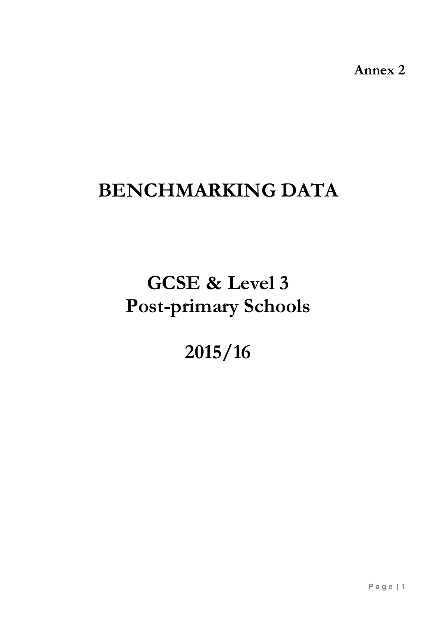Annex 2

# BENCHMARKING DATA

# GCSE & Level 3 Post-primary Schools

# 2015/16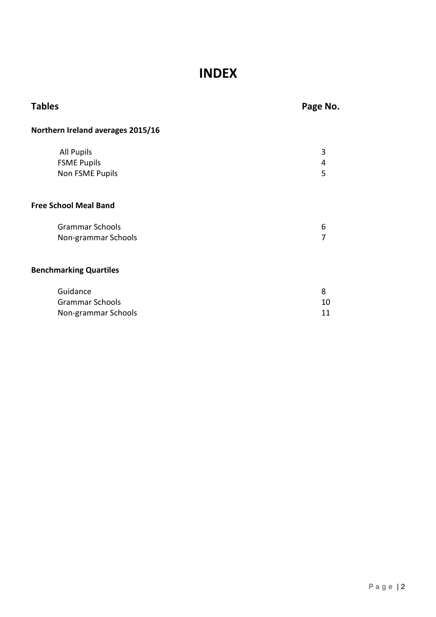# INDEX

| <b>Tables</b>                     | Page No. |
|-----------------------------------|----------|
| Northern Ireland averages 2015/16 |          |
| <b>All Pupils</b>                 | 3        |
| <b>FSME Pupils</b>                | 4        |
| Non FSME Pupils                   | 5        |
| <b>Free School Meal Band</b>      |          |
| <b>Grammar Schools</b>            | 6        |
| Non-grammar Schools               | 7        |
| <b>Benchmarking Quartiles</b>     |          |
| Guidance                          | 8        |
| <b>Grammar Schools</b>            | 10       |
| Non-grammar Schools               | 11       |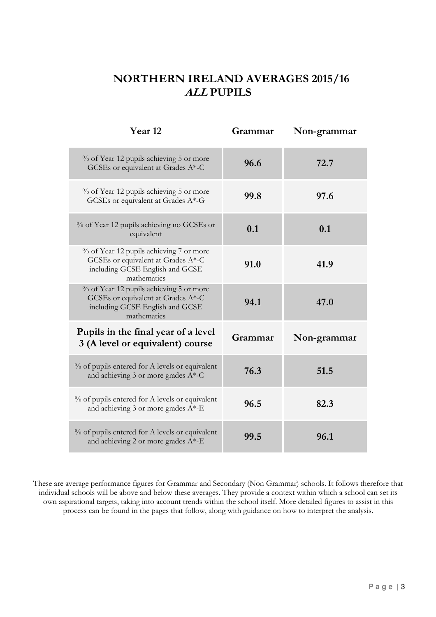# NORTHERN IRELAND AVERAGES 2015/16 ALL PUPILS

| Year <sub>12</sub>                                                                                                              | Grammar | Non-grammar |
|---------------------------------------------------------------------------------------------------------------------------------|---------|-------------|
| % of Year 12 pupils achieving 5 or more<br>GCSEs or equivalent at Grades A*-C                                                   | 96.6    | 72.7        |
| % of Year 12 pupils achieving 5 or more<br>GCSEs or equivalent at Grades A*-G                                                   | 99.8    | 97.6        |
| % of Year 12 pupils achieving no GCSEs or<br>equivalent                                                                         | 0.1     | 0.1         |
| % of Year 12 pupils achieving 7 or more<br>GCSEs or equivalent at Grades A*-C<br>including GCSE English and GCSE<br>mathematics | 91.0    | 41.9        |
| % of Year 12 pupils achieving 5 or more<br>GCSEs or equivalent at Grades A*-C<br>including GCSE English and GCSE<br>mathematics | 94.1    | 47.0        |
| Pupils in the final year of a level<br>3 (A level or equivalent) course                                                         | Grammar | Non-grammar |
| % of pupils entered for A levels or equivalent<br>and achieving 3 or more grades A*-C                                           | 76.3    | 51.5        |
| % of pupils entered for A levels or equivalent<br>and achieving 3 or more grades A*-E                                           | 96.5    | 82.3        |
| % of pupils entered for A levels or equivalent<br>and achieving 2 or more grades A*-E                                           | 99.5    | 96.1        |

 These are average performance figures for Grammar and Secondary (Non Grammar) schools. It follows therefore that individual schools will be above and below these averages. They provide a context within which a school can set its own aspirational targets, taking into account trends within the school itself. More detailed figures to assist in this process can be found in the pages that follow, along with guidance on how to interpret the analysis.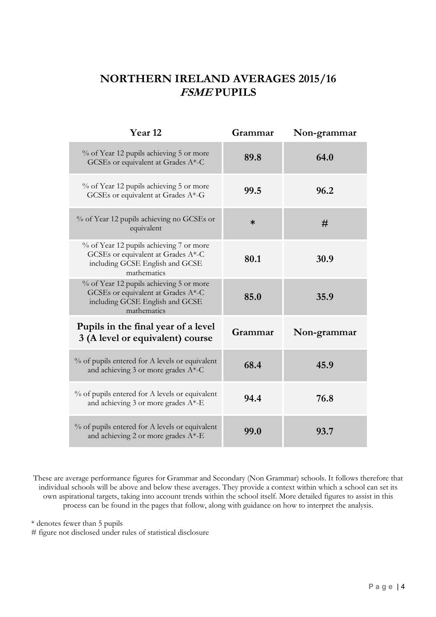# NORTHERN IRELAND AVERAGES 2015/16 FSME PUPILS

| Year <sub>12</sub>                                                                                                              | Grammar | Non-grammar |
|---------------------------------------------------------------------------------------------------------------------------------|---------|-------------|
| % of Year 12 pupils achieving 5 or more<br>GCSEs or equivalent at Grades A*-C                                                   | 89.8    | 64.0        |
| % of Year 12 pupils achieving 5 or more<br>GCSEs or equivalent at Grades A*-G                                                   | 99.5    | 96.2        |
| % of Year 12 pupils achieving no GCSEs or<br>equivalent                                                                         | $\ast$  | #           |
| % of Year 12 pupils achieving 7 or more<br>GCSEs or equivalent at Grades A*-C<br>including GCSE English and GCSE<br>mathematics | 80.1    | 30.9        |
| % of Year 12 pupils achieving 5 or more<br>GCSEs or equivalent at Grades A*-C<br>including GCSE English and GCSE<br>mathematics | 85.0    | 35.9        |
| Pupils in the final year of a level<br>3 (A level or equivalent) course                                                         | Grammar | Non-grammar |
| % of pupils entered for A levels or equivalent<br>and achieving 3 or more grades $A^*$ -C                                       | 68.4    | 45.9        |
| % of pupils entered for A levels or equivalent<br>and achieving 3 or more grades A*-E                                           | 94.4    | 76.8        |
| % of pupils entered for A levels or equivalent<br>and achieving 2 or more grades A*-E                                           | 99.0    | 93.7        |

 These are average performance figures for Grammar and Secondary (Non Grammar) schools. It follows therefore that individual schools will be above and below these averages. They provide a context within which a school can set its own aspirational targets, taking into account trends within the school itself. More detailed figures to assist in this process can be found in the pages that follow, along with guidance on how to interpret the analysis.

\* denotes fewer than 5 pupils

# figure not disclosed under rules of statistical disclosure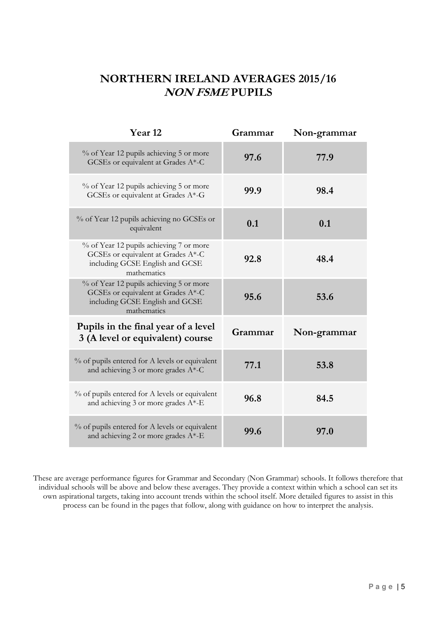# NORTHERN IRELAND AVERAGES 2015/16 NON FSME PUPILS

| Year <sub>12</sub>                                                                                                              | Grammar | Non-grammar |
|---------------------------------------------------------------------------------------------------------------------------------|---------|-------------|
| % of Year 12 pupils achieving 5 or more<br>GCSEs or equivalent at Grades A*-C                                                   | 97.6    | 77.9        |
| % of Year 12 pupils achieving 5 or more<br>GCSEs or equivalent at Grades A*-G                                                   | 99.9    | 98.4        |
| % of Year 12 pupils achieving no GCSEs or<br>equivalent                                                                         | 0.1     | 0.1         |
| % of Year 12 pupils achieving 7 or more<br>GCSEs or equivalent at Grades A*-C<br>including GCSE English and GCSE<br>mathematics | 92.8    | 48.4        |
| % of Year 12 pupils achieving 5 or more<br>GCSEs or equivalent at Grades A*-C<br>including GCSE English and GCSE<br>mathematics | 95.6    | 53.6        |
| Pupils in the final year of a level<br>3 (A level or equivalent) course                                                         | Grammar | Non-grammar |
| % of pupils entered for A levels or equivalent<br>and achieving 3 or more grades A*-C                                           | 77.1    | 53.8        |
| % of pupils entered for A levels or equivalent<br>and achieving 3 or more grades A*-E                                           | 96.8    | 84.5        |
| % of pupils entered for A levels or equivalent<br>and achieving 2 or more grades A*-E                                           | 99.6    | 97.0        |

 These are average performance figures for Grammar and Secondary (Non Grammar) schools. It follows therefore that individual schools will be above and below these averages. They provide a context within which a school can set its own aspirational targets, taking into account trends within the school itself. More detailed figures to assist in this process can be found in the pages that follow, along with guidance on how to interpret the analysis.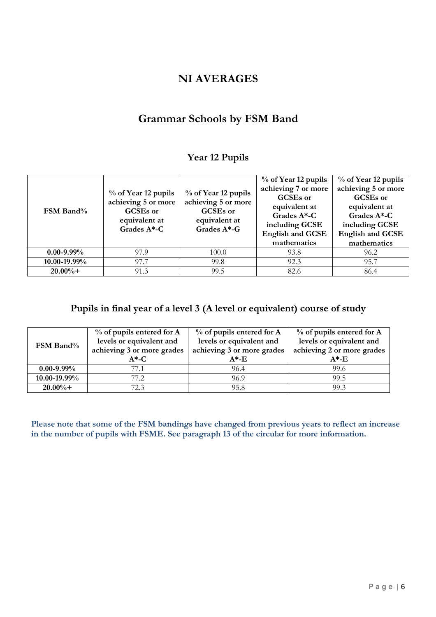### NI AVERAGES

# Grammar Schools by FSM Band

### Year 12 Pupils

| FSM Band%       | % of Year 12 pupils<br>achieving 5 or more<br>GCSEs or<br>equivalent at<br>Grades A*-C | % of Year 12 pupils<br>achieving 5 or more<br><b>GCSEs</b> or<br>equivalent at<br>Grades A*-G | % of Year 12 pupils<br>achieving 7 or more<br>GCSEs or<br>equivalent at<br>Grades A*-C<br>including GCSE<br><b>English and GCSE</b><br>mathematics | % of Year 12 pupils<br>achieving 5 or more<br>GCSEs or<br>equivalent at<br>Grades A*-C<br>including GCSE<br><b>English and GCSE</b><br>mathematics |
|-----------------|----------------------------------------------------------------------------------------|-----------------------------------------------------------------------------------------------|----------------------------------------------------------------------------------------------------------------------------------------------------|----------------------------------------------------------------------------------------------------------------------------------------------------|
| $0.00 - 9.99\%$ | 97.9                                                                                   | 100.0                                                                                         | 93.8                                                                                                                                               | 96.2                                                                                                                                               |
| 10.00-19.99%    | 97.7                                                                                   | 99.8                                                                                          | 92.3                                                                                                                                               | 95.7                                                                                                                                               |
| $20.00\%+$      | 91.3                                                                                   | 99.5                                                                                          | 82.6                                                                                                                                               | 86.4                                                                                                                                               |

### Pupils in final year of a level 3 (A level or equivalent) course of study

|                   | $%$ of pupils entered for A | $%$ of pupils entered for A | $%$ of pupils entered for A |  |
|-------------------|-----------------------------|-----------------------------|-----------------------------|--|
| FSM Band%         | levels or equivalent and    | levels or equivalent and    | levels or equivalent and    |  |
|                   | achieving 3 or more grades  | achieving 3 or more grades  | achieving 2 or more grades  |  |
|                   | $A^*$ -C                    | $A^*$ -E                    | $A^*$ -E                    |  |
| $0.00 - 9.99\%$   | 77.1                        | 96.4                        | 99.6                        |  |
| $10.00 - 19.99\%$ | 77 2.                       | 96.9                        | 99.5                        |  |
| $20.00\% +$       | 72.3                        | 95.8                        | 99.3                        |  |

 Please note that some of the FSM bandings have changed from previous years to reflect an increase in the number of pupils with FSME. See paragraph 13 of the circular for more information.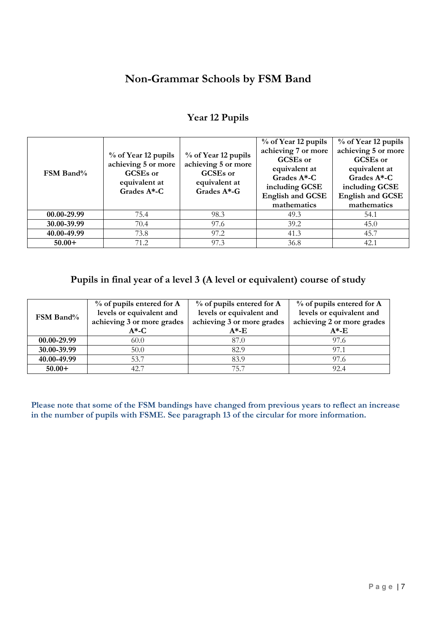# Non-Grammar Schools by FSM Band

| FSM Band%   | % of Year 12 pupils<br>achieving 5 or more<br>GCSEs or<br>equivalent at<br>Grades $A^*$ -C | % of Year 12 pupils<br>achieving 5 or more<br>GCSEs or<br>equivalent at<br>Grades A*-G | % of Year 12 pupils<br>achieving 7 or more<br>GCSEs or<br>equivalent at<br>Grades A*-C<br>including GCSE<br><b>English and GCSE</b><br>mathematics | % of Year 12 pupils<br>achieving 5 or more<br>GCSEs or<br>equivalent at<br>Grades A*-C<br>including GCSE<br><b>English and GCSE</b><br>mathematics |
|-------------|--------------------------------------------------------------------------------------------|----------------------------------------------------------------------------------------|----------------------------------------------------------------------------------------------------------------------------------------------------|----------------------------------------------------------------------------------------------------------------------------------------------------|
| 00.00-29.99 | 75.4                                                                                       | 98.3                                                                                   | 49.3                                                                                                                                               | 54.1                                                                                                                                               |
| 30.00-39.99 | 70.4                                                                                       | 97.6                                                                                   | 39.2                                                                                                                                               | 45.0                                                                                                                                               |
| 40.00-49.99 | 73.8                                                                                       | 97.2                                                                                   | 41.3                                                                                                                                               | 45.7                                                                                                                                               |
| $50.00+$    | 71.2                                                                                       | 97.3                                                                                   | 36.8                                                                                                                                               | 42.1                                                                                                                                               |

### Year 12 Pupils

### Pupils in final year of a level 3 (A level or equivalent) course of study

| <b>FSM Band</b> % | $%$ of pupils entered for A<br>levels or equivalent and<br>achieving 3 or more grades<br>$A^{\ast}$ -C | $%$ of pupils entered for A<br>levels or equivalent and<br>achieving 3 or more grades<br>$A^*$ -E | % of pupils entered for A<br>levels or equivalent and<br>achieving 2 or more grades<br>$A^{\ast}$ -E |
|-------------------|--------------------------------------------------------------------------------------------------------|---------------------------------------------------------------------------------------------------|------------------------------------------------------------------------------------------------------|
| 00.00-29.99       | 60.0                                                                                                   | 87.0                                                                                              | 97.6                                                                                                 |
| 30.00-39.99       | 50.0                                                                                                   | 82.9                                                                                              | 97.1                                                                                                 |
| 40.00-49.99       | 53.7                                                                                                   | 83.9                                                                                              | 97.6                                                                                                 |
| $50.00+$          | 42.7                                                                                                   | 75.7                                                                                              | 92.4                                                                                                 |

 Please note that some of the FSM bandings have changed from previous years to reflect an increase in the number of pupils with FSME. See paragraph 13 of the circular for more information.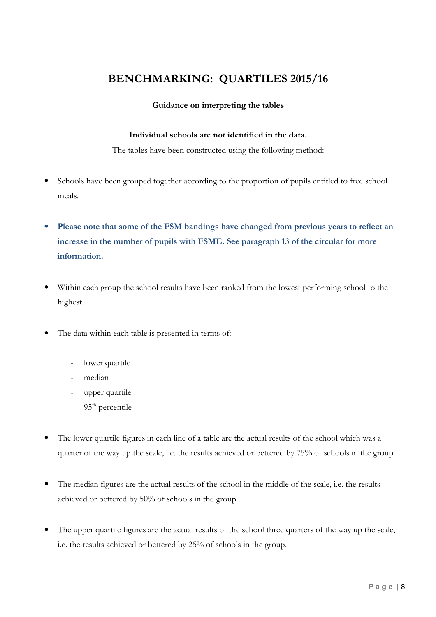# BENCHMARKING: QUARTILES 2015/16

### Guidance on interpreting the tables

### Individual schools are not identified in the data.

The tables have been constructed using the following method:

- • Schools have been grouped together according to the proportion of pupils entitled to free school meals.
- Please note that some of the FSM bandings have changed from previous years to reflect an increase in the number of pupils with FSME. See paragraph 13 of the circular for more information.
- • Within each group the school results have been ranked from the lowest performing school to the highest.
- • The data within each table is presented in terms of:
	- lower quartile
	- median
	- upper quartile
	- 95<sup>th</sup> percentile
- • The lower quartile figures in each line of a table are the actual results of the school which was a quarter of the way up the scale, i.e. the results achieved or bettered by 75% of schools in the group.
- • The median figures are the actual results of the school in the middle of the scale, i.e. the results achieved or bettered by 50% of schools in the group.
- • The upper quartile figures are the actual results of the school three quarters of the way up the scale, i.e. the results achieved or bettered by 25% of schools in the group.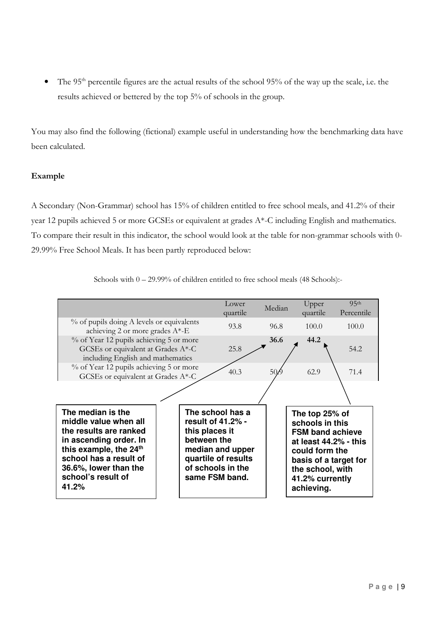• The 95<sup>th</sup> percentile figures are the actual results of the school 95% of the way up the scale, i.e. the results achieved or bettered by the top 5% of schools in the group.

 You may also find the following (fictional) example useful in understanding how the benchmarking data have been calculated.

### Example

A Secondary (Non-Grammar) school has 15% of children entitled to free school meals, and 41.2% of their year 12 pupils achieved 5 or more GCSEs or equivalent at grades A\*C including English and mathematics. To compare their result in this indicator, the school would look at the table for nongrammar schools with 0 29.99% Free School Meals. It has been partly reproduced below:

| Schools with $0 - 29.99\%$ of children entitled to free school meals (48 Schools):- |  |
|-------------------------------------------------------------------------------------|--|
|                                                                                     |  |

|                                                                                                                                                                                                                        |                                                    | Lower<br>quartile                                                                                  | Median          | Upper<br>quartile                                                                                                                                                                     | 95 <sup>th</sup><br>Percentile |
|------------------------------------------------------------------------------------------------------------------------------------------------------------------------------------------------------------------------|----------------------------------------------------|----------------------------------------------------------------------------------------------------|-----------------|---------------------------------------------------------------------------------------------------------------------------------------------------------------------------------------|--------------------------------|
| % of pupils doing A levels or equivalents<br>achieving 2 or more grades A*-E                                                                                                                                           |                                                    | 93.8                                                                                               | 96.8            | 100.0                                                                                                                                                                                 | 100.0                          |
| % of Year 12 pupils achieving 5 or more<br>GCSEs or equivalent at Grades A*-C<br>including English and mathematics                                                                                                     |                                                    | 25.8                                                                                               | 36.6            | 44.2                                                                                                                                                                                  | 54.2                           |
| % of Year 12 pupils achieving 5 or more<br>GCSEs or equivalent at Grades A*-C                                                                                                                                          |                                                    | 40.3                                                                                               | 50 <sub>k</sub> | 62.9                                                                                                                                                                                  | 71.4                           |
|                                                                                                                                                                                                                        |                                                    |                                                                                                    |                 |                                                                                                                                                                                       |                                |
| The median is the<br>middle value when all<br>the results are ranked<br>in ascending order. In<br>this example, the 24 <sup>th</sup><br>school has a result of<br>36.6%, lower than the<br>school's result of<br>41.2% | result of 41.2% -<br>this places it<br>between the | The school has a<br>median and upper<br>quartile of results<br>of schools in the<br>same FSM band. |                 | The top 25% of<br>schools in this<br><b>FSM band achieve</b><br>at least 44.2% - this<br>could form the<br>basis of a target for<br>the school, with<br>41.2% currently<br>achieving. |                                |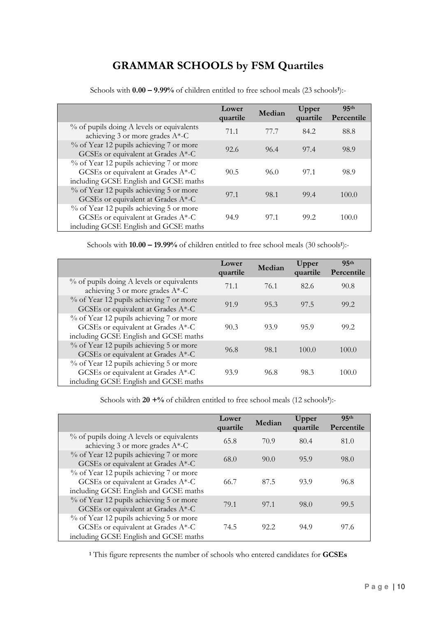# GRAMMAR SCHOOLS by FSM Quartiles

|                                                                                                                            | Lower<br>quartile | Median | Upper<br>quartile | 95 <sup>th</sup><br>Percentile |
|----------------------------------------------------------------------------------------------------------------------------|-------------------|--------|-------------------|--------------------------------|
| % of pupils doing A levels or equivalents<br>achieving 3 or more grades $A^*$ -C                                           | 71.1              | 77.7   | 84.2              | 88.8                           |
| % of Year 12 pupils achieving 7 or more<br>GCSEs or equivalent at Grades A*-C                                              | 92.6              | 96.4   | 97.4              | 98.9                           |
| % of Year 12 pupils achieving 7 or more<br>GCSEs or equivalent at Grades A*-C<br>including GCSE English and GCSE maths     | 90.5              | 96.0   | 97.1              | 98.9                           |
| % of Year 12 pupils achieving 5 or more<br>GCSEs or equivalent at Grades A*-C                                              | 97.1              | 98.1   | 99.4              | 100.0                          |
| % of Year 12 pupils achieving 5 or more<br>GCSEs or equivalent at Grades $A^*$ -C<br>including GCSE English and GCSE maths | 94.9              | 97.1   | 99.2              | 100.0                          |

Schools with  $0.00 - 9.99\%$  of children entitled to free school meals  $(23 \text{ schools}^1)$ :

Schools with  $10.00 - 19.99\%$  of children entitled to free school meals  $(30 \text{ schools}!)$ :

|                                                                                                                        | Lower<br>quartile | Median | Upper<br>quartile | 95 <sub>th</sub><br>Percentile |
|------------------------------------------------------------------------------------------------------------------------|-------------------|--------|-------------------|--------------------------------|
| % of pupils doing A levels or equivalents<br>achieving 3 or more grades $A^*$ -C                                       | 71.1              | 76.1   | 82.6              | 90.8                           |
| % of Year 12 pupils achieving 7 or more<br>GCSEs or equivalent at Grades $A^*$ -C                                      | 91.9              | 95.3   | 97.5              | 99.2                           |
| % of Year 12 pupils achieving 7 or more<br>GCSEs or equivalent at Grades A*-C<br>including GCSE English and GCSE maths | 90.3              | 93.9   | 95.9              | 99.2                           |
| % of Year 12 pupils achieving 5 or more<br>GCSEs or equivalent at Grades A*-C                                          | 96.8              | 98.1   | 100.0             | 100.0                          |
| % of Year 12 pupils achieving 5 or more<br>GCSEs or equivalent at Grades A*-C<br>including GCSE English and GCSE maths | 93.9              | 96.8   | 98.3              | 100.0                          |

Schools with  $20 + \%$  of children entitled to free school meals (12 schools<sup>1</sup>):-

|                                                                                                                        | Lower<br>quartile | Median | Upper<br>quartile | 95 <sub>th</sub><br>Percentile |
|------------------------------------------------------------------------------------------------------------------------|-------------------|--------|-------------------|--------------------------------|
| % of pupils doing A levels or equivalents<br>achieving 3 or more grades $A^*$ -C                                       | 65.8              | 70.9   | 80.4              | 81.0                           |
| % of Year 12 pupils achieving 7 or more<br>GCSEs or equivalent at Grades A*-C                                          | 68.0              | 90.0   | 95.9              | 98.0                           |
| % of Year 12 pupils achieving 7 or more<br>GCSEs or equivalent at Grades A*-C<br>including GCSE English and GCSE maths | 66.7              | 87.5   | 93.9              | 96.8                           |
| % of Year 12 pupils achieving 5 or more<br>GCSEs or equivalent at Grades A*-C                                          | 79.1              | 97.1   | 98.0              | 99.5                           |
| % of Year 12 pupils achieving 5 or more<br>GCSEs or equivalent at Grades A*-C<br>including GCSE English and GCSE maths | 74.5              | 92.2   | 94.9              | 97.6                           |

<sup>1</sup> This figure represents the number of schools who entered candidates for GCSEs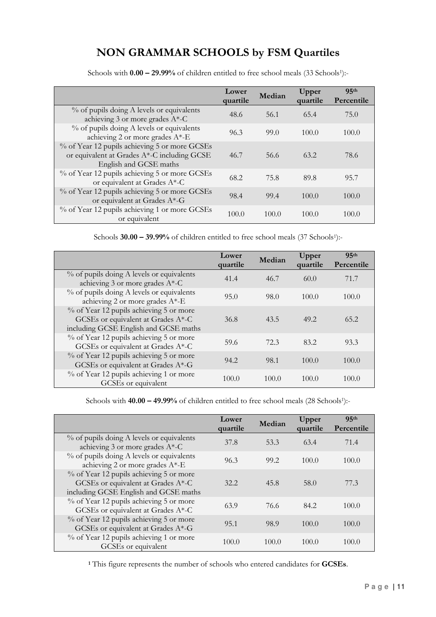# NON GRAMMAR SCHOOLS by FSM Quartiles

|                                                                                                                        | Lower<br>quartile | Median | Upper    | 95 <sup>th</sup> |
|------------------------------------------------------------------------------------------------------------------------|-------------------|--------|----------|------------------|
|                                                                                                                        |                   |        | quartile | Percentile       |
| % of pupils doing A levels or equivalents<br>achieving 3 or more grades $A^*$ -C                                       | 48.6              | 56.1   | 65.4     | 75.0             |
| % of pupils doing A levels or equivalents<br>achieving 2 or more grades $A^*$ -E                                       | 96.3              | 99.0   | 100.0    | 100.0            |
| % of Year 12 pupils achieving 5 or more GCSEs<br>or equivalent at Grades A*-C including GCSE<br>English and GCSE maths | 46.7              | 56.6   | 63.2     | 78.6             |
| % of Year 12 pupils achieving 5 or more GCSEs<br>or equivalent at Grades A*-C                                          | 68.2              | 75.8   | 89.8     | 95.7             |
| % of Year 12 pupils achieving 5 or more GCSEs<br>or equivalent at Grades A*-G                                          | 98.4              | 99.4   | 100.0    | 100.0            |
| % of Year 12 pupils achieving 1 or more GCSEs<br>or equivalent                                                         | 100.0             | 100.0  | 100.0    | 100.0            |

Schools with  $0.00 - 29.99\%$  of children entitled to free school meals (33 Schools<sup>1</sup>):-

Schools 30.00 – 39.99% of children entitled to free school meals (37 Schools<sup>1</sup>):-

|                                                                                                                        | Lower<br>quartile | Median | Upper<br>quartile | 95 <sup>th</sup><br>Percentile |
|------------------------------------------------------------------------------------------------------------------------|-------------------|--------|-------------------|--------------------------------|
| % of pupils doing A levels or equivalents<br>achieving 3 or more grades $A^*$ -C                                       | 41.4              | 46.7   | 60.0              | 71.7                           |
| % of pupils doing A levels or equivalents<br>achieving 2 or more grades $A^*$ -E                                       | 95.0              | 98.0   | 100.0             | 100.0                          |
| % of Year 12 pupils achieving 5 or more<br>GCSEs or equivalent at Grades A*-C<br>including GCSE English and GCSE maths | 36.8              | 43.5   | 49.2              | 65.2                           |
| % of Year 12 pupils achieving 5 or more<br>GCSEs or equivalent at Grades A*-C                                          | 59.6              | 72.3   | 83.2              | 93.3                           |
| % of Year 12 pupils achieving 5 or more<br>GCSEs or equivalent at Grades A*-G                                          | 94.2              | 98.1   | 100.0             | 100.0                          |
| % of Year 12 pupils achieving 1 or more<br>GCSEs or equivalent                                                         | 100.0             | 100.0  | 100.0             | 100.0                          |

Schools with  $40.00 - 49.99\%$  of children entitled to free school meals  $(28$  Schools<sup>1</sup>):-

|                                                                                                                        | Lower<br>quartile | Median | Upper<br>quartile | 95 <sup>th</sup><br>Percentile |
|------------------------------------------------------------------------------------------------------------------------|-------------------|--------|-------------------|--------------------------------|
| % of pupils doing A levels or equivalents<br>achieving 3 or more grades $A^*$ -C                                       | 37.8              | 53.3   | 63.4              | 71.4                           |
| % of pupils doing A levels or equivalents<br>achieving 2 or more grades A*-E                                           | 96.3              | 99.2   | 100.0             | 100.0                          |
| % of Year 12 pupils achieving 5 or more<br>GCSEs or equivalent at Grades A*-C<br>including GCSE English and GCSE maths | 32.2.             | 45.8   | 58.0              | 77.3                           |
| % of Year 12 pupils achieving 5 or more<br>GCSEs or equivalent at Grades A*-C                                          | 63.9              | 76.6   | 84.2              | 100.0                          |
| % of Year 12 pupils achieving 5 or more<br>GCSEs or equivalent at Grades A*-G                                          | 95.1              | 98.9   | 100.0             | 100.0                          |
| % of Year 12 pupils achieving 1 or more<br>GCSEs or equivalent                                                         | 100.0             | 100.0  | 100.0             | 100.0                          |

<sup>1</sup> This figure represents the number of schools who entered candidates for **GCSEs**.